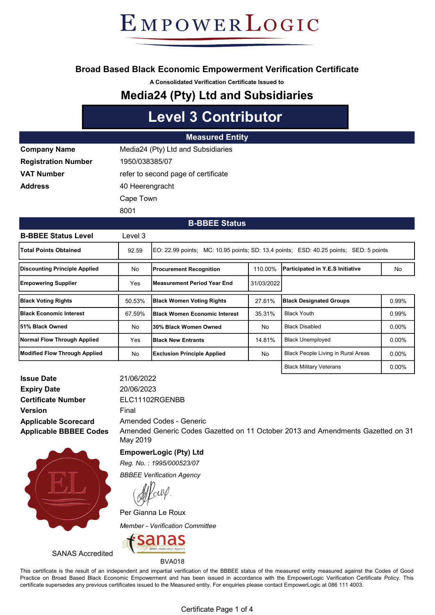### Broad Based Black Economic Empowerment Verification Certificate

A Consolidated Verification Certificate Issued to

### Media24 (Pty) Ltd and Subsidiaries

## Level 3 Contributor

#### Measured Entity

| <b>Company Name</b>        | Media24 (Pty) Ltd and Subsidiaries  |
|----------------------------|-------------------------------------|
| <b>Registration Number</b> | 1950/038385/07                      |
| <b>VAT Number</b>          | refer to second page of certificate |
| Address                    | 40 Heerengracht                     |
|                            | Cape Town                           |
|                            | 8001                                |

#### B-BBEE Status

| <b>B-BBEE Status Level</b>      | Level 3 |                                                                                       |            |                                           |          |
|---------------------------------|---------|---------------------------------------------------------------------------------------|------------|-------------------------------------------|----------|
| <b>Total Points Obtained</b>    | 92.59   | EQ: 22.99 points; MC: 10.95 points; SD: 13.4 points; ESD: 40.25 points; SED: 5 points |            |                                           |          |
| Discounting Principle Applied   | No      | <b>Procurement Recognition</b>                                                        | 110.00%    | Participated in Y.E.S Initiative          | No       |
| <b>Empowering Supplier</b>      | Yes     | lMeasurement Period Year End                                                          | 31/03/2022 |                                           |          |
| <b>Black Voting Rights</b>      | 50.53%  | <b>Black Women Voting Rights</b>                                                      | 27.61%     | <b>Black Designated Groups</b>            | 0.99%    |
| <b>IBlack Economic Interest</b> | 67.59%  | <b>IBlack Women Economic Interest</b>                                                 | 35.31%     | <b>Black Youth</b>                        | 0.99%    |
| l51% Black Owned                | No      | 30% Black Women Owned                                                                 | No         | <b>Black Disabled</b>                     | $0.00\%$ |
| Normal Flow Through Applied     | Yes     | <b>IBlack New Entrants</b>                                                            | 14.81%     | <b>Black Unemployed</b>                   | $0.00\%$ |
| Modified Flow Through Applied   | No      | <b>Exclusion Principle Applied</b>                                                    | No         | <b>Black People Living in Rural Areas</b> | $0.00\%$ |
|                                 |         |                                                                                       |            | <b>Black Military Veterans</b>            | $0.00\%$ |

Applicable Scorecard Applicable BBBEE Codes Issue Date Expiry Date Certificate Number Version





EmpowerLogic (Pty) Ltd

Reg. No. : 1995/000523/07

BBBEE Verification Agency

Per Gianna Le Roux

Member - Verification Committee



SANAS Accredited

BVA018

This certificate is the result of an independent and impartial verification of the BBBEE status of the measured entity measured against the Codes of Good Practice on Broad Based Black Economic Empowerment and has been issued in accordance with the EmpowerLogic Verification Certificate Policy. This certificate supersedes any previous certificates issued to the Measured entity. For enquiries please contact EmpowerLogic at 086 111 4003.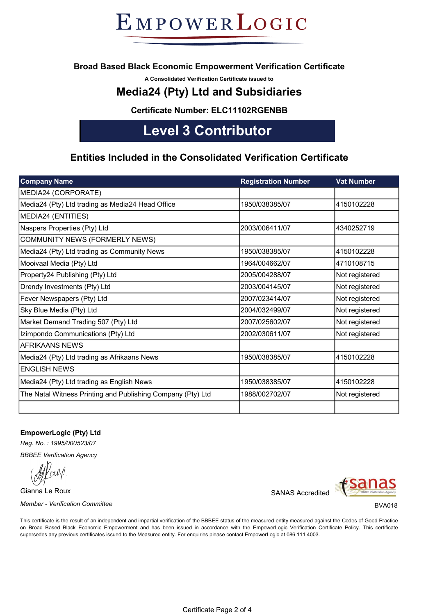### Broad Based Black Economic Empowerment Verification Certificate

A Consolidated Verification Certificate issued to

### Media24 (Pty) Ltd and Subsidiaries

Certificate Number: ELC11102RGENBB

## Level 3 Contributor

### Entities Included in the Consolidated Verification Certificate

| <b>Company Name</b>                                         | <b>Registration Number</b> | <b>Vat Number</b> |
|-------------------------------------------------------------|----------------------------|-------------------|
| MEDIA24 (CORPORATE)                                         |                            |                   |
| Media24 (Pty) Ltd trading as Media24 Head Office            | 1950/038385/07             | 4150102228        |
| MEDIA24 (ENTITIES)                                          |                            |                   |
| Naspers Properties (Pty) Ltd                                | 2003/006411/07             | 4340252719        |
| COMMUNITY NEWS (FORMERLY NEWS)                              |                            |                   |
| Media24 (Pty) Ltd trading as Community News                 | 1950/038385/07             | 4150102228        |
| Mooivaal Media (Pty) Ltd                                    | 1964/004662/07             | 4710108715        |
| Property24 Publishing (Pty) Ltd                             | 2005/004288/07             | Not registered    |
| Drendy Investments (Pty) Ltd                                | 2003/004145/07             | Not registered    |
| Fever Newspapers (Pty) Ltd                                  | 2007/023414/07             | Not registered    |
| Sky Blue Media (Pty) Ltd                                    | 2004/032499/07             | Not registered    |
| Market Demand Trading 507 (Pty) Ltd                         | 2007/025602/07             | Not registered    |
| Izimpondo Communications (Pty) Ltd                          | 2002/030611/07             | Not registered    |
| <b>AFRIKAANS NEWS</b>                                       |                            |                   |
| Media24 (Pty) Ltd trading as Afrikaans News                 | 1950/038385/07             | 4150102228        |
| <b>ENGLISH NEWS</b>                                         |                            |                   |
| Media24 (Pty) Ltd trading as English News                   | 1950/038385/07             | 4150102228        |
| The Natal Witness Printing and Publishing Company (Pty) Ltd | 1988/002702/07             | Not registered    |
|                                                             |                            |                   |

#### EmpowerLogic (Pty) Ltd

Reg. No. : 1995/000523/07

BBBEE Verification Agency

Gianna Le Roux

Member - Verification Committee **BYA018** and the BVA018 state of the BVA018 state of the BVA018 state of the BVA018

SANAS Accredited



This certificate is the result of an independent and impartial verification of the BBBEE status of the measured entity measured against the Codes of Good Practice on Broad Based Black Economic Empowerment and has been issued in accordance with the EmpowerLogic Verification Certificate Policy. This certificate supersedes any previous certificates issued to the Measured entity. For enquiries please contact EmpowerLogic at 086 111 4003.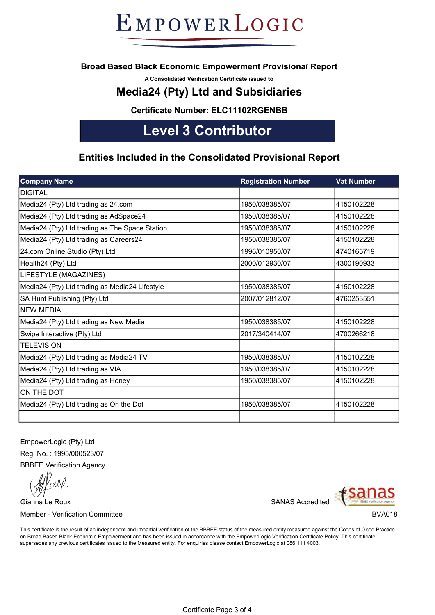### Broad Based Black Economic Empowerment Provisional Report

A Consolidated Verification Certificate issued to

### Media24 (Pty) Ltd and Subsidiaries

Certificate Number: ELC11102RGENBB

## Level 3 Contributor

### Entities Included in the Consolidated Provisional Report

| <b>Company Name</b>                            | <b>Registration Number</b> | <b>Vat Number</b> |
|------------------------------------------------|----------------------------|-------------------|
| <b>DIGITAL</b>                                 |                            |                   |
| Media24 (Pty) Ltd trading as 24.com            | 1950/038385/07             | 4150102228        |
| Media24 (Pty) Ltd trading as AdSpace24         | 1950/038385/07             | 4150102228        |
| Media24 (Pty) Ltd trading as The Space Station | 1950/038385/07             | 4150102228        |
| Media24 (Pty) Ltd trading as Careers24         | 1950/038385/07             | 4150102228        |
| 24.com Online Studio (Pty) Ltd                 | 1996/010950/07             | 4740165719        |
| Health24 (Pty) Ltd                             | 2000/012930/07             | 4300190933        |
| LIFESTYLE (MAGAZINES)                          |                            |                   |
| Media24 (Pty) Ltd trading as Media24 Lifestyle | 1950/038385/07             | 4150102228        |
| SA Hunt Publishing (Pty) Ltd                   | 2007/012812/07             | 4760253551        |
| <b>NEW MEDIA</b>                               |                            |                   |
| Media24 (Pty) Ltd trading as New Media         | 1950/038385/07             | 4150102228        |
| Swipe Interactive (Pty) Ltd                    | 2017/340414/07             | 4700266218        |
| <b>TELEVISION</b>                              |                            |                   |
| Media24 (Pty) Ltd trading as Media24 TV        | 1950/038385/07             | 4150102228        |
| Media24 (Pty) Ltd trading as VIA               | 1950/038385/07             | 4150102228        |
| Media24 (Pty) Ltd trading as Honey             | 1950/038385/07             | 4150102228        |
| ON THE DOT                                     |                            |                   |
| Media24 (Pty) Ltd trading as On the Dot        | 1950/038385/07             | 4150102228        |
|                                                |                            |                   |

EmpowerLogic (Pty) Ltd Reg. No. : 1995/000523/07 BBBEE Verification Agency

Gianna Le Roux Member - Verification Committee

SANAS Accredited



BVA018

This certificate is the result of an independent and impartial verification of the BBBEE status of the measured entity measured against the Codes of Good Practice on Broad Based Black Economic Empowerment and has been issued in accordance with the EmpowerLogic Verification Certificate Policy. This certificate supersedes any previous certificates issued to the Measured entity. For enquiries please contact EmpowerLogic at 086 111 4003.